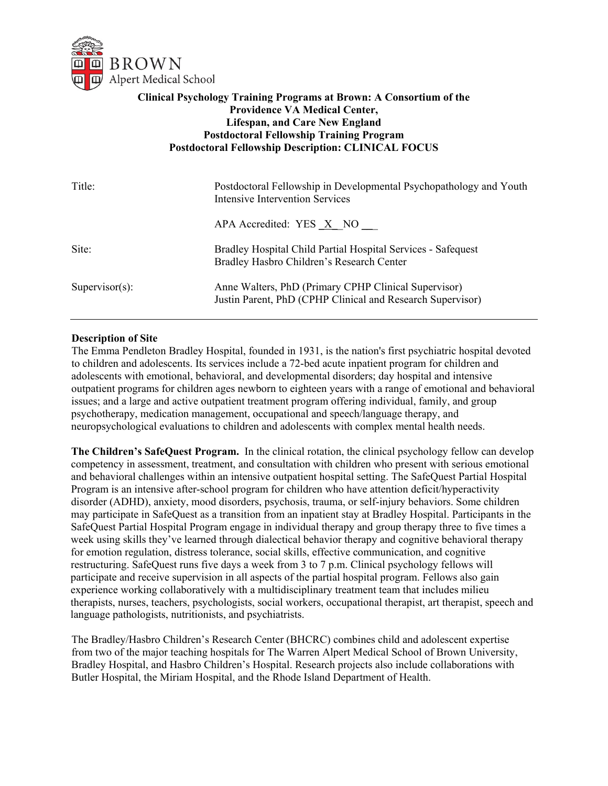

# **Clinical Psychology Training Programs at Brown: A Consortium of the Providence VA Medical Center, Lifespan, and Care New England Postdoctoral Fellowship Training Program Postdoctoral Fellowship Description: CLINICAL FOCUS**

| Title:            | Postdoctoral Fellowship in Developmental Psychopathology and Youth<br>Intensive Intervention Services              |
|-------------------|--------------------------------------------------------------------------------------------------------------------|
|                   | APA Accredited: $YES \times NO$                                                                                    |
| Site:             | Bradley Hospital Child Partial Hospital Services - Safequest<br>Bradley Hasbro Children's Research Center          |
| $Supervisor(s)$ : | Anne Walters, PhD (Primary CPHP Clinical Supervisor)<br>Justin Parent, PhD (CPHP Clinical and Research Supervisor) |

#### **Description of Site**

The Emma Pendleton Bradley Hospital, founded in 1931, is the nation's first psychiatric hospital devoted to children and adolescents. Its services include a 72-bed acute inpatient program for children and adolescents with emotional, behavioral, and developmental disorders; day hospital and intensive outpatient programs for children ages newborn to eighteen years with a range of emotional and behavioral issues; and a large and active outpatient treatment program offering individual, family, and group psychotherapy, medication management, occupational and speech/language therapy, and neuropsychological evaluations to children and adolescents with complex mental health needs.

**The Children's SafeQuest Program.** In the clinical rotation, the clinical psychology fellow can develop competency in assessment, treatment, and consultation with children who present with serious emotional and behavioral challenges within an intensive outpatient hospital setting. The SafeQuest Partial Hospital Program is an intensive after-school program for children who have attention deficit/hyperactivity disorder (ADHD), anxiety, mood disorders, psychosis, trauma, or self-injury behaviors. Some children may participate in SafeQuest as a transition from an inpatient stay at Bradley Hospital. Participants in the SafeQuest Partial Hospital Program engage in individual therapy and group therapy three to five times a week using skills they've learned through dialectical behavior therapy and cognitive behavioral therapy for emotion regulation, distress tolerance, social skills, effective communication, and cognitive restructuring. SafeQuest runs five days a week from 3 to 7 p.m. Clinical psychology fellows will participate and receive supervision in all aspects of the partial hospital program. Fellows also gain experience working collaboratively with a multidisciplinary treatment team that includes milieu therapists, nurses, teachers, psychologists, social workers, occupational therapist, art therapist, speech and language pathologists, nutritionists, and psychiatrists.

The Bradley/Hasbro Children's Research Center (BHCRC) combines child and adolescent expertise from two of the major teaching hospitals for The Warren Alpert Medical School of Brown University, Bradley Hospital, and Hasbro Children's Hospital. Research projects also include collaborations with Butler Hospital, the Miriam Hospital, and the Rhode Island Department of Health.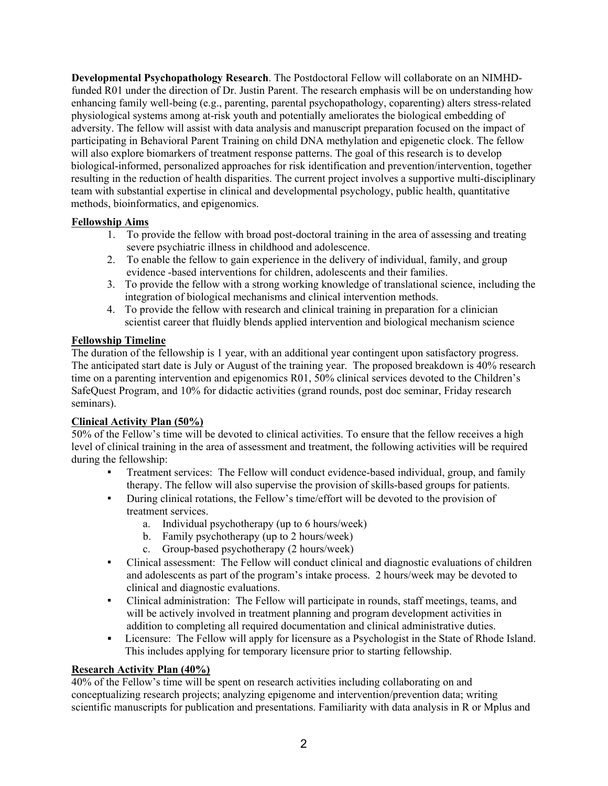**Developmental Psychopathology Research**. The Postdoctoral Fellow will collaborate on an NIMHDfunded R01 under the direction of Dr. Justin Parent. The research emphasis will be on understanding how enhancing family well-being (e.g., parenting, parental psychopathology, coparenting) alters stress-related physiological systems among at-risk youth and potentially ameliorates the biological embedding of adversity. The fellow will assist with data analysis and manuscript preparation focused on the impact of participating in Behavioral Parent Training on child DNA methylation and epigenetic clock. The fellow will also explore biomarkers of treatment response patterns. The goal of this research is to develop biological-informed, personalized approaches for risk identification and prevention/intervention, together resulting in the reduction of health disparities. The current project involves a supportive multi-disciplinary team with substantial expertise in clinical and developmental psychology, public health, quantitative methods, bioinformatics, and epigenomics.

# **Fellowship Aims**

- 1. To provide the fellow with broad post-doctoral training in the area of assessing and treating severe psychiatric illness in childhood and adolescence.
- 2. To enable the fellow to gain experience in the delivery of individual, family, and group evidence -based interventions for children, adolescents and their families.
- 3. To provide the fellow with a strong working knowledge of translational science, including the integration of biological mechanisms and clinical intervention methods.
- 4. To provide the fellow with research and clinical training in preparation for a clinician scientist career that fluidly blends applied intervention and biological mechanism science

# **Fellowship Timeline**

The duration of the fellowship is 1 year, with an additional year contingent upon satisfactory progress. The anticipated start date is July or August of the training year. The proposed breakdown is 40% research time on a parenting intervention and epigenomics R01, 50% clinical services devoted to the Children's SafeQuest Program, and 10% for didactic activities (grand rounds, post doc seminar, Friday research seminars).

# **Clinical Activity Plan (50%)**

50% of the Fellow's time will be devoted to clinical activities. To ensure that the fellow receives a high level of clinical training in the area of assessment and treatment, the following activities will be required during the fellowship:

- Treatment services: The Fellow will conduct evidence-based individual, group, and family therapy. The fellow will also supervise the provision of skills-based groups for patients.
- During clinical rotations, the Fellow's time/effort will be devoted to the provision of treatment services.
	- a. Individual psychotherapy (up to 6 hours/week)
	- b. Family psychotherapy (up to 2 hours/week)
	- c. Group-based psychotherapy (2 hours/week)
- Clinical assessment: The Fellow will conduct clinical and diagnostic evaluations of children and adolescents as part of the program's intake process. 2 hours/week may be devoted to clinical and diagnostic evaluations.
- Clinical administration: The Fellow will participate in rounds, staff meetings, teams, and will be actively involved in treatment planning and program development activities in addition to completing all required documentation and clinical administrative duties.
- **Licensure:** The Fellow will apply for licensure as a Psychologist in the State of Rhode Island. This includes applying for temporary licensure prior to starting fellowship.

# **Research Activity Plan (40%)**

40% of the Fellow's time will be spent on research activities including collaborating on and conceptualizing research projects; analyzing epigenome and intervention/prevention data; writing scientific manuscripts for publication and presentations. Familiarity with data analysis in R or Mplus and